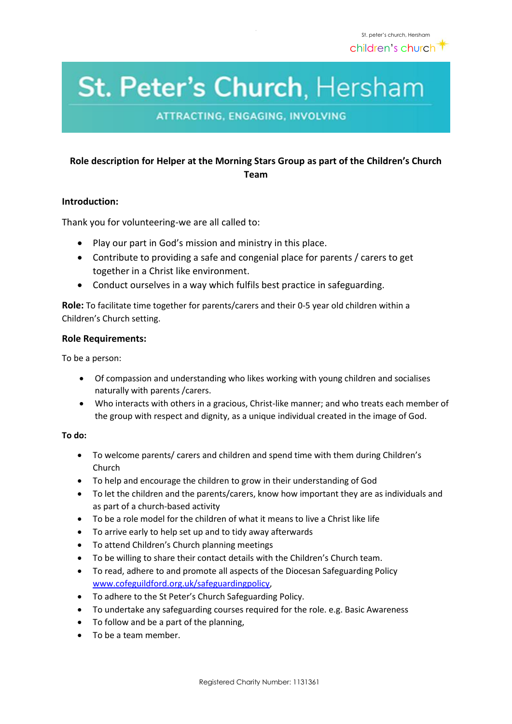# St. Peter's Church, Hersham

**ATTRACTING, ENGAGING, INVOLVING** 

## **Role description for Helper at the Morning Stars Group as part of the Children's Church Team**

## **Introduction:**

Thank you for volunteering-we are all called to:

- Play our part in God's mission and ministry in this place.
- Contribute to providing a safe and congenial place for parents / carers to get together in a Christ like environment.
- Conduct ourselves in a way which fulfils best practice in safeguarding.

**Role:** To facilitate time together for parents/carers and their 0-5 year old children within a Children's Church setting.

### **Role Requirements:**

To be a person:

- Of compassion and understanding who likes working with young children and socialises naturally with parents /carers.
- Who interacts with others in a gracious, Christ-like manner; and who treats each member of the group with respect and dignity, as a unique individual created in the image of God.

#### **To do:**

- To welcome parents/ carers and children and spend time with them during Children's Church
- To help and encourage the children to grow in their understanding of God
- To let the children and the parents/carers, know how important they are as individuals and as part of a church-based activity
- To be a role model for the children of what it means to live a Christ like life
- To arrive early to help set up and to tidy away afterwards
- To attend Children's Church planning meetings
- To be willing to share their contact details with the Children's Church team.
- To read, adhere to and promote all aspects of the Diocesan Safeguarding Policy [www.cofeguildford.org.uk/safeguardingpolicy,](http://www.cofeguildford.org.uk/safeguardingpolicy)
- To adhere to the St Peter's Church Safeguarding Policy.
- To undertake any safeguarding courses required for the role. e.g. Basic Awareness
- To follow and be a part of the planning,
- To be a team member.